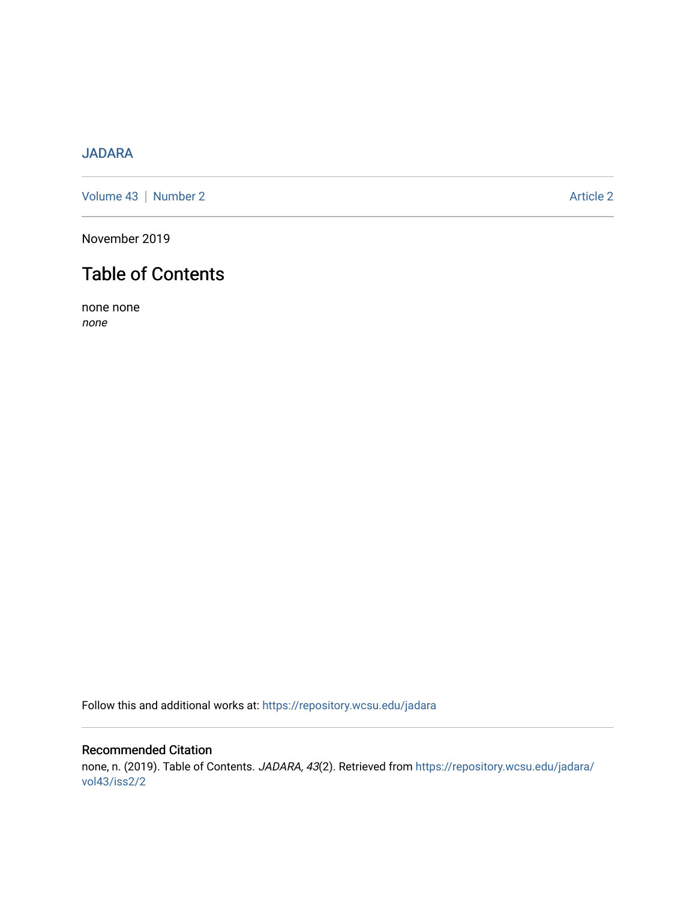# [JADARA](https://repository.wcsu.edu/jadara)

[Volume 43](https://repository.wcsu.edu/jadara/vol43) | [Number 2](https://repository.wcsu.edu/jadara/vol43/iss2) Article 2

November 2019

# Table of Contents

none none none

Follow this and additional works at: [https://repository.wcsu.edu/jadara](https://repository.wcsu.edu/jadara?utm_source=repository.wcsu.edu%2Fjadara%2Fvol43%2Fiss2%2F2&utm_medium=PDF&utm_campaign=PDFCoverPages)

## Recommended Citation none, n. (2019). Table of Contents. JADARA, 43(2). Retrieved from [https://repository.wcsu.edu/jadara/](https://repository.wcsu.edu/jadara/vol43/iss2/2?utm_source=repository.wcsu.edu%2Fjadara%2Fvol43%2Fiss2%2F2&utm_medium=PDF&utm_campaign=PDFCoverPages) [vol43/iss2/2](https://repository.wcsu.edu/jadara/vol43/iss2/2?utm_source=repository.wcsu.edu%2Fjadara%2Fvol43%2Fiss2%2F2&utm_medium=PDF&utm_campaign=PDFCoverPages)